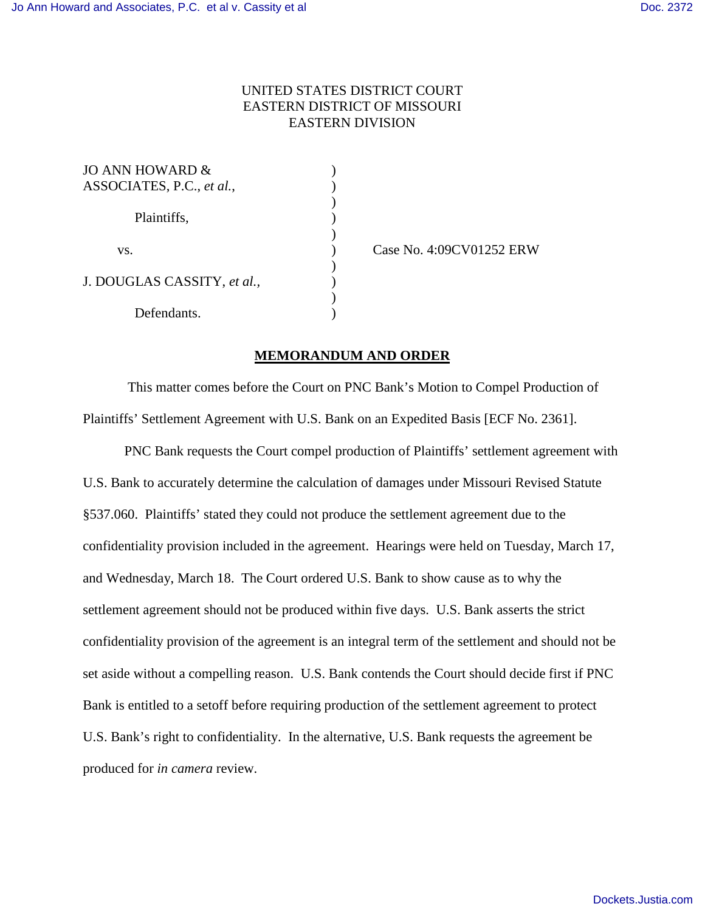## UNITED STATES DISTRICT COURT EASTERN DISTRICT OF MISSOURI EASTERN DIVISION

| JO ANN HOWARD $\&$          |  |
|-----------------------------|--|
| ASSOCIATES, P.C., et al.,   |  |
|                             |  |
| Plaintiffs,                 |  |
|                             |  |
| VS.                         |  |
|                             |  |
| J. DOUGLAS CASSITY, et al., |  |
|                             |  |
| Defendants.                 |  |

) Case No. 4:09CV01252 ERW

## **MEMORANDUM AND ORDER**

 This matter comes before the Court on PNC Bank's Motion to Compel Production of Plaintiffs' Settlement Agreement with U.S. Bank on an Expedited Basis [ECF No. 2361].

PNC Bank requests the Court compel production of Plaintiffs' settlement agreement with U.S. Bank to accurately determine the calculation of damages under Missouri Revised Statute §537.060. Plaintiffs' stated they could not produce the settlement agreement due to the confidentiality provision included in the agreement. Hearings were held on Tuesday, March 17, and Wednesday, March 18. The Court ordered U.S. Bank to show cause as to why the settlement agreement should not be produced within five days. U.S. Bank asserts the strict confidentiality provision of the agreement is an integral term of the settlement and should not be set aside without a compelling reason. U.S. Bank contends the Court should decide first if PNC Bank is entitled to a setoff before requiring production of the settlement agreement to protect U.S. Bank's right to confidentiality. In the alternative, U.S. Bank requests the agreement be produced for *in camera* review.